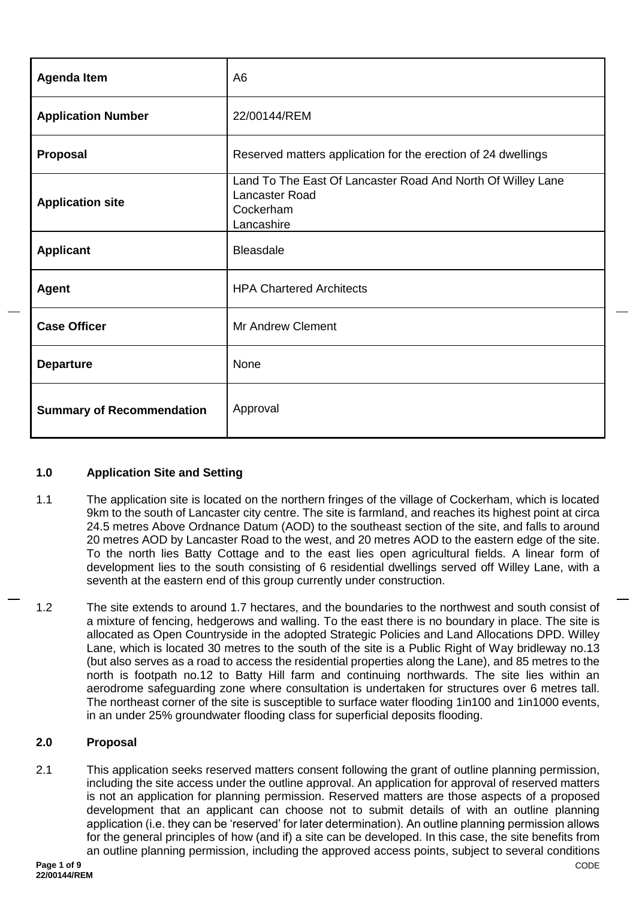| <b>Agenda Item</b>               | A <sub>6</sub>                                                                                           |
|----------------------------------|----------------------------------------------------------------------------------------------------------|
| <b>Application Number</b>        | 22/00144/REM                                                                                             |
| Proposal                         | Reserved matters application for the erection of 24 dwellings                                            |
| <b>Application site</b>          | Land To The East Of Lancaster Road And North Of Willey Lane<br>Lancaster Road<br>Cockerham<br>Lancashire |
| <b>Applicant</b>                 | <b>Bleasdale</b>                                                                                         |
| <b>Agent</b>                     | <b>HPA Chartered Architects</b>                                                                          |
| <b>Case Officer</b>              | <b>Mr Andrew Clement</b>                                                                                 |
| <b>Departure</b>                 | None                                                                                                     |
| <b>Summary of Recommendation</b> | Approval                                                                                                 |

## **1.0 Application Site and Setting**

- 1.1 The application site is located on the northern fringes of the village of Cockerham, which is located 9km to the south of Lancaster city centre. The site is farmland, and reaches its highest point at circa 24.5 metres Above Ordnance Datum (AOD) to the southeast section of the site, and falls to around 20 metres AOD by Lancaster Road to the west, and 20 metres AOD to the eastern edge of the site. To the north lies Batty Cottage and to the east lies open agricultural fields. A linear form of development lies to the south consisting of 6 residential dwellings served off Willey Lane, with a seventh at the eastern end of this group currently under construction.
- 1.2 The site extends to around 1.7 hectares, and the boundaries to the northwest and south consist of a mixture of fencing, hedgerows and walling. To the east there is no boundary in place. The site is allocated as Open Countryside in the adopted Strategic Policies and Land Allocations DPD. Willey Lane, which is located 30 metres to the south of the site is a Public Right of Way bridleway no.13 (but also serves as a road to access the residential properties along the Lane), and 85 metres to the north is footpath no.12 to Batty Hill farm and continuing northwards. The site lies within an aerodrome safeguarding zone where consultation is undertaken for structures over 6 metres tall. The northeast corner of the site is susceptible to surface water flooding 1in100 and 1in1000 events, in an under 25% groundwater flooding class for superficial deposits flooding.

### **2.0 Proposal**

2.1 This application seeks reserved matters consent following the grant of outline planning permission, including the site access under the outline approval. An application for approval of reserved matters is not an application for planning permission. Reserved matters are those aspects of a proposed development that an applicant can choose not to submit details of with an outline planning application (i.e. they can be 'reserved' for later determination). An outline planning permission allows for the general principles of how (and if) a site can be developed. In this case, the site benefits from an outline planning permission, including the approved access points, subject to several conditions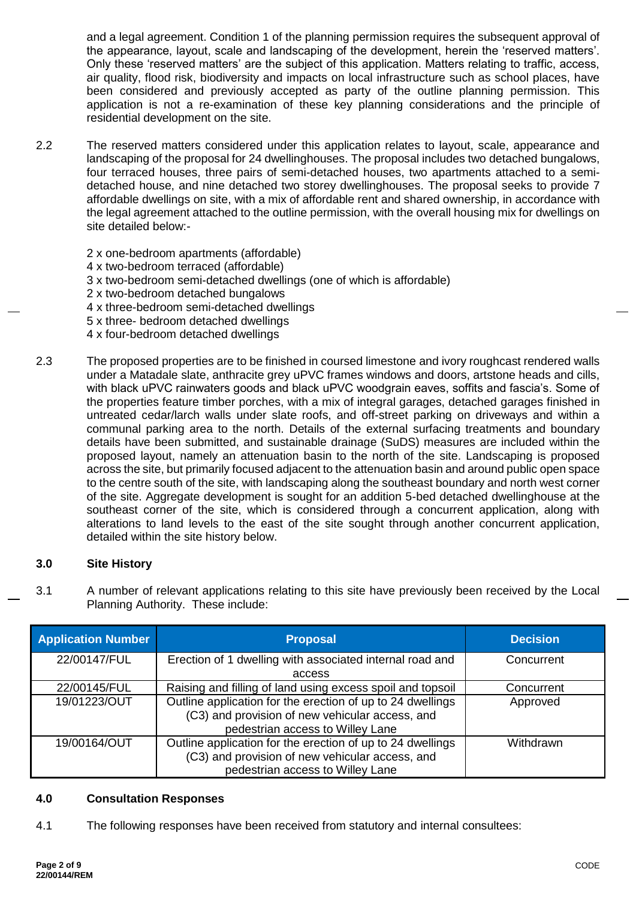and a legal agreement. Condition 1 of the planning permission requires the subsequent approval of the appearance, layout, scale and landscaping of the development, herein the 'reserved matters'. Only these 'reserved matters' are the subject of this application. Matters relating to traffic, access, air quality, flood risk, biodiversity and impacts on local infrastructure such as school places, have been considered and previously accepted as party of the outline planning permission. This application is not a re-examination of these key planning considerations and the principle of residential development on the site.

- 2.2 The reserved matters considered under this application relates to layout, scale, appearance and landscaping of the proposal for 24 dwellinghouses. The proposal includes two detached bungalows, four terraced houses, three pairs of semi-detached houses, two apartments attached to a semidetached house, and nine detached two storey dwellinghouses. The proposal seeks to provide 7 affordable dwellings on site, with a mix of affordable rent and shared ownership, in accordance with the legal agreement attached to the outline permission, with the overall housing mix for dwellings on site detailed below:-
	- 2 x one-bedroom apartments (affordable)
	- 4 x two-bedroom terraced (affordable)
	- 3 x two-bedroom semi-detached dwellings (one of which is affordable)
	- 2 x two-bedroom detached bungalows
	- 4 x three-bedroom semi-detached dwellings
	- 5 x three- bedroom detached dwellings
	- 4 x four-bedroom detached dwellings
- 2.3 The proposed properties are to be finished in coursed limestone and ivory roughcast rendered walls under a Matadale slate, anthracite grey uPVC frames windows and doors, artstone heads and cills, with black uPVC rainwaters goods and black uPVC woodgrain eaves, soffits and fascia's. Some of the properties feature timber porches, with a mix of integral garages, detached garages finished in untreated cedar/larch walls under slate roofs, and off-street parking on driveways and within a communal parking area to the north. Details of the external surfacing treatments and boundary details have been submitted, and sustainable drainage (SuDS) measures are included within the proposed layout, namely an attenuation basin to the north of the site. Landscaping is proposed across the site, but primarily focused adjacent to the attenuation basin and around public open space to the centre south of the site, with landscaping along the southeast boundary and north west corner of the site. Aggregate development is sought for an addition 5-bed detached dwellinghouse at the southeast corner of the site, which is considered through a concurrent application, along with alterations to land levels to the east of the site sought through another concurrent application, detailed within the site history below.

### **3.0 Site History**

3.1 A number of relevant applications relating to this site have previously been received by the Local Planning Authority. These include:

| <b>Application Number</b> | <b>Proposal</b>                                                                                                                                   | <b>Decision</b> |
|---------------------------|---------------------------------------------------------------------------------------------------------------------------------------------------|-----------------|
| 22/00147/FUL              | Erection of 1 dwelling with associated internal road and<br>access                                                                                | Concurrent      |
| 22/00145/FUL              | Raising and filling of land using excess spoil and topsoil                                                                                        | Concurrent      |
| 19/01223/OUT              | Outline application for the erection of up to 24 dwellings<br>(C3) and provision of new vehicular access, and<br>pedestrian access to Willey Lane | Approved        |
| 19/00164/OUT              | Outline application for the erection of up to 24 dwellings<br>(C3) and provision of new vehicular access, and<br>pedestrian access to Willey Lane | Withdrawn       |

### **4.0 Consultation Responses**

4.1 The following responses have been received from statutory and internal consultees: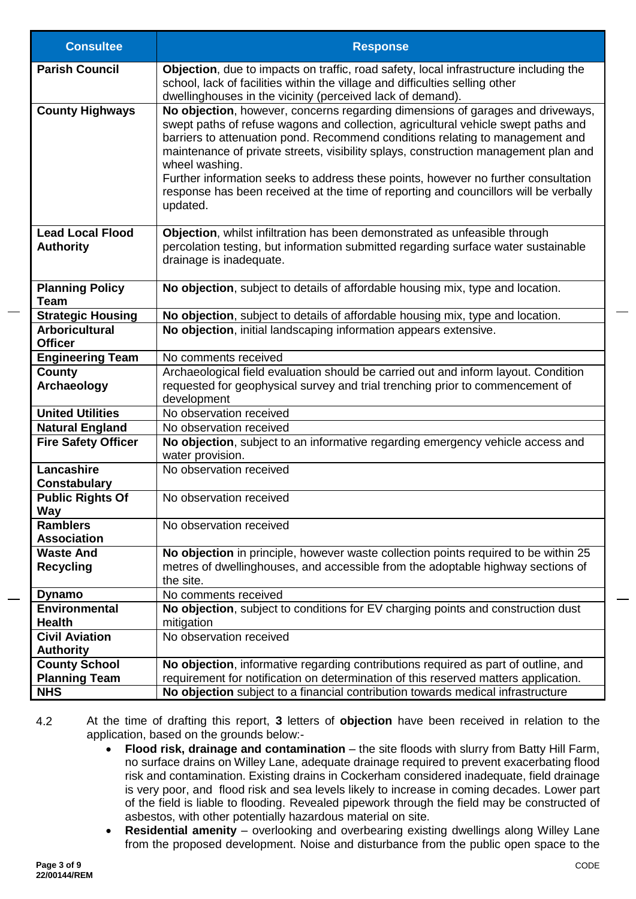| <b>Consultee</b>                            | <b>Response</b>                                                                                                                                                                                                                                                                                                                                                                                                                                                                                                                                         |  |
|---------------------------------------------|---------------------------------------------------------------------------------------------------------------------------------------------------------------------------------------------------------------------------------------------------------------------------------------------------------------------------------------------------------------------------------------------------------------------------------------------------------------------------------------------------------------------------------------------------------|--|
| <b>Parish Council</b>                       | Objection, due to impacts on traffic, road safety, local infrastructure including the<br>school, lack of facilities within the village and difficulties selling other<br>dwellinghouses in the vicinity (perceived lack of demand).                                                                                                                                                                                                                                                                                                                     |  |
| <b>County Highways</b>                      | No objection, however, concerns regarding dimensions of garages and driveways,<br>swept paths of refuse wagons and collection, agricultural vehicle swept paths and<br>barriers to attenuation pond. Recommend conditions relating to management and<br>maintenance of private streets, visibility splays, construction management plan and<br>wheel washing.<br>Further information seeks to address these points, however no further consultation<br>response has been received at the time of reporting and councillors will be verbally<br>updated. |  |
| <b>Lead Local Flood</b><br><b>Authority</b> | Objection, whilst infiltration has been demonstrated as unfeasible through<br>percolation testing, but information submitted regarding surface water sustainable<br>drainage is inadequate.                                                                                                                                                                                                                                                                                                                                                             |  |
| <b>Planning Policy</b><br><b>Team</b>       | No objection, subject to details of affordable housing mix, type and location.                                                                                                                                                                                                                                                                                                                                                                                                                                                                          |  |
| <b>Strategic Housing</b>                    | No objection, subject to details of affordable housing mix, type and location.                                                                                                                                                                                                                                                                                                                                                                                                                                                                          |  |
| <b>Arboricultural</b>                       | No objection, initial landscaping information appears extensive.                                                                                                                                                                                                                                                                                                                                                                                                                                                                                        |  |
| <b>Officer</b>                              |                                                                                                                                                                                                                                                                                                                                                                                                                                                                                                                                                         |  |
| <b>Engineering Team</b>                     | No comments received                                                                                                                                                                                                                                                                                                                                                                                                                                                                                                                                    |  |
| <b>County</b><br>Archaeology                | Archaeological field evaluation should be carried out and inform layout. Condition<br>requested for geophysical survey and trial trenching prior to commencement of<br>development                                                                                                                                                                                                                                                                                                                                                                      |  |
| <b>United Utilities</b>                     | No observation received                                                                                                                                                                                                                                                                                                                                                                                                                                                                                                                                 |  |
| <b>Natural England</b>                      | No observation received                                                                                                                                                                                                                                                                                                                                                                                                                                                                                                                                 |  |
| <b>Fire Safety Officer</b>                  | No objection, subject to an informative regarding emergency vehicle access and<br>water provision.                                                                                                                                                                                                                                                                                                                                                                                                                                                      |  |
| Lancashire                                  | No observation received                                                                                                                                                                                                                                                                                                                                                                                                                                                                                                                                 |  |
| <b>Constabulary</b>                         |                                                                                                                                                                                                                                                                                                                                                                                                                                                                                                                                                         |  |
| <b>Public Rights Of</b><br>way              | No observation received                                                                                                                                                                                                                                                                                                                                                                                                                                                                                                                                 |  |
| <b>Ramblers</b><br><b>Association</b>       | No observation received                                                                                                                                                                                                                                                                                                                                                                                                                                                                                                                                 |  |
| <b>Waste And</b>                            | No objection in principle, however waste collection points required to be within 25                                                                                                                                                                                                                                                                                                                                                                                                                                                                     |  |
| <b>Recycling</b>                            | metres of dwellinghouses, and accessible from the adoptable highway sections of<br>the site.                                                                                                                                                                                                                                                                                                                                                                                                                                                            |  |
| <b>Dynamo</b>                               | No comments received                                                                                                                                                                                                                                                                                                                                                                                                                                                                                                                                    |  |
| <b>Environmental</b>                        | No objection, subject to conditions for EV charging points and construction dust                                                                                                                                                                                                                                                                                                                                                                                                                                                                        |  |
| <b>Health</b>                               | mitigation                                                                                                                                                                                                                                                                                                                                                                                                                                                                                                                                              |  |
| <b>Civil Aviation</b>                       | No observation received                                                                                                                                                                                                                                                                                                                                                                                                                                                                                                                                 |  |
| <b>Authority</b>                            |                                                                                                                                                                                                                                                                                                                                                                                                                                                                                                                                                         |  |
| <b>County School</b>                        | No objection, informative regarding contributions required as part of outline, and                                                                                                                                                                                                                                                                                                                                                                                                                                                                      |  |
| <b>Planning Team</b>                        | requirement for notification on determination of this reserved matters application.                                                                                                                                                                                                                                                                                                                                                                                                                                                                     |  |
| <b>NHS</b>                                  | No objection subject to a financial contribution towards medical infrastructure                                                                                                                                                                                                                                                                                                                                                                                                                                                                         |  |

4.2 At the time of drafting this report, **3** letters of **objection** have been received in relation to the application, based on the grounds below:-

- **Flood risk, drainage and contamination** the site floods with slurry from Batty Hill Farm, no surface drains on Willey Lane, adequate drainage required to prevent exacerbating flood risk and contamination. Existing drains in Cockerham considered inadequate, field drainage is very poor, and flood risk and sea levels likely to increase in coming decades. Lower part of the field is liable to flooding. Revealed pipework through the field may be constructed of asbestos, with other potentially hazardous material on site.
- **Residential amenity** overlooking and overbearing existing dwellings along Willey Lane from the proposed development. Noise and disturbance from the public open space to the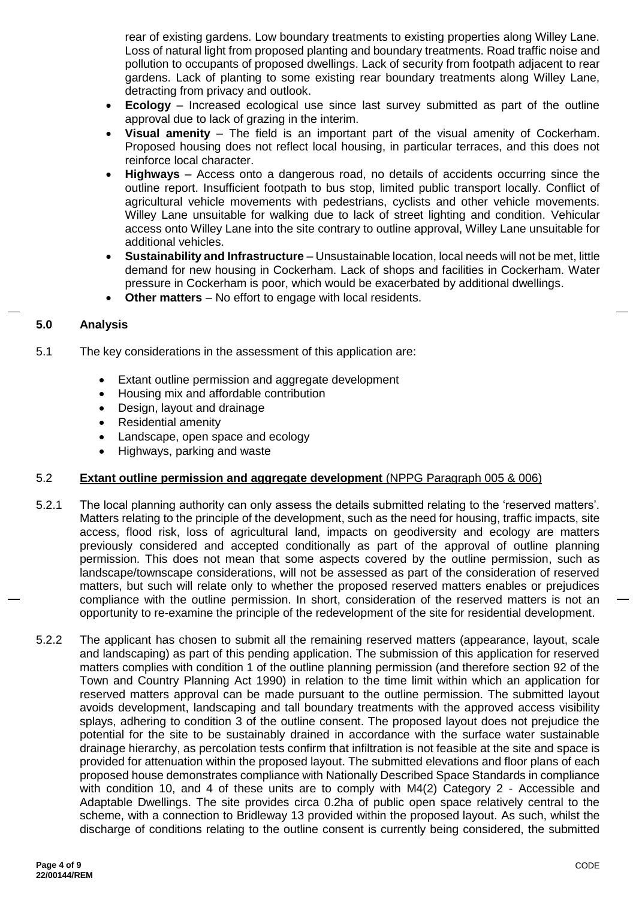rear of existing gardens. Low boundary treatments to existing properties along Willey Lane. Loss of natural light from proposed planting and boundary treatments. Road traffic noise and pollution to occupants of proposed dwellings. Lack of security from footpath adjacent to rear gardens. Lack of planting to some existing rear boundary treatments along Willey Lane, detracting from privacy and outlook.

- **Ecology** Increased ecological use since last survey submitted as part of the outline approval due to lack of grazing in the interim.
- **Visual amenity** The field is an important part of the visual amenity of Cockerham. Proposed housing does not reflect local housing, in particular terraces, and this does not reinforce local character.
- **Highways** Access onto a dangerous road, no details of accidents occurring since the outline report. Insufficient footpath to bus stop, limited public transport locally. Conflict of agricultural vehicle movements with pedestrians, cyclists and other vehicle movements. Willey Lane unsuitable for walking due to lack of street lighting and condition. Vehicular access onto Willey Lane into the site contrary to outline approval, Willey Lane unsuitable for additional vehicles.
- **Sustainability and Infrastructure** Unsustainable location, local needs will not be met, little demand for new housing in Cockerham. Lack of shops and facilities in Cockerham. Water pressure in Cockerham is poor, which would be exacerbated by additional dwellings.
- **Other matters** No effort to engage with local residents.

## **5.0 Analysis**

- 5.1 The key considerations in the assessment of this application are:
	- Extant outline permission and aggregate development
	- Housing mix and affordable contribution
	- Design, layout and drainage
	- Residential amenity
	- Landscape, open space and ecology
	- Highways, parking and waste

## 5.2 **Extant outline permission and aggregate development** (NPPG Paragraph 005 & 006)

- 5.2.1 The local planning authority can only assess the details submitted relating to the 'reserved matters'. Matters relating to the principle of the development, such as the need for housing, traffic impacts, site access, flood risk, loss of agricultural land, impacts on geodiversity and ecology are matters previously considered and accepted conditionally as part of the approval of outline planning permission. This does not mean that some aspects covered by the outline permission, such as landscape/townscape considerations, will not be assessed as part of the consideration of reserved matters, but such will relate only to whether the proposed reserved matters enables or prejudices compliance with the outline permission. In short, consideration of the reserved matters is not an opportunity to re-examine the principle of the redevelopment of the site for residential development.
- 5.2.2 The applicant has chosen to submit all the remaining reserved matters (appearance, layout, scale and landscaping) as part of this pending application. The submission of this application for reserved matters complies with condition 1 of the outline planning permission (and therefore section 92 of the Town and Country Planning Act 1990) in relation to the time limit within which an application for reserved matters approval can be made pursuant to the outline permission. The submitted layout avoids development, landscaping and tall boundary treatments with the approved access visibility splays, adhering to condition 3 of the outline consent. The proposed layout does not prejudice the potential for the site to be sustainably drained in accordance with the surface water sustainable drainage hierarchy, as percolation tests confirm that infiltration is not feasible at the site and space is provided for attenuation within the proposed layout. The submitted elevations and floor plans of each proposed house demonstrates compliance with Nationally Described Space Standards in compliance with condition 10, and 4 of these units are to comply with M4(2) Category 2 - Accessible and Adaptable Dwellings. The site provides circa 0.2ha of public open space relatively central to the scheme, with a connection to Bridleway 13 provided within the proposed layout. As such, whilst the discharge of conditions relating to the outline consent is currently being considered, the submitted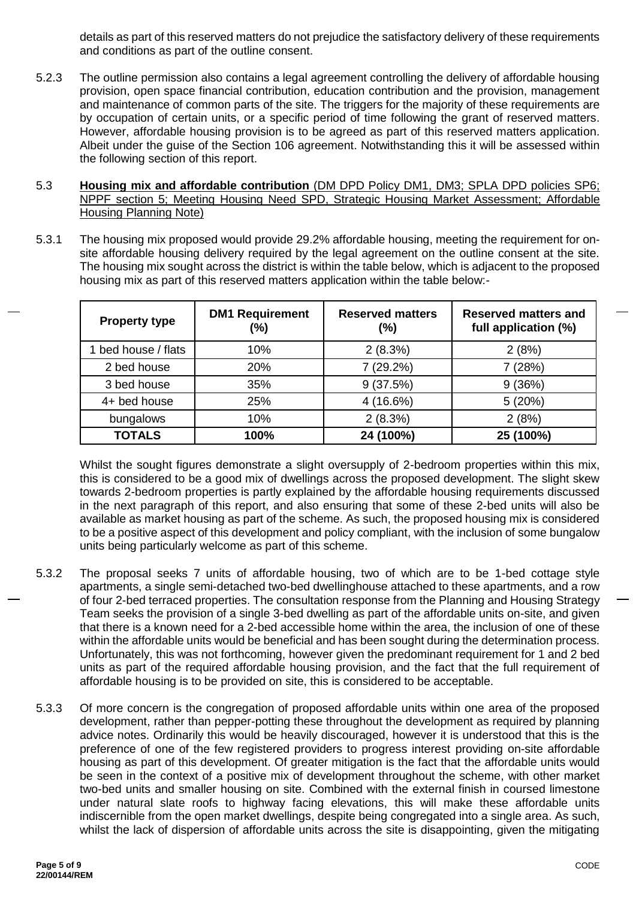details as part of this reserved matters do not prejudice the satisfactory delivery of these requirements and conditions as part of the outline consent.

- 5.2.3 The outline permission also contains a legal agreement controlling the delivery of affordable housing provision, open space financial contribution, education contribution and the provision, management and maintenance of common parts of the site. The triggers for the majority of these requirements are by occupation of certain units, or a specific period of time following the grant of reserved matters. However, affordable housing provision is to be agreed as part of this reserved matters application. Albeit under the guise of the Section 106 agreement. Notwithstanding this it will be assessed within the following section of this report.
- 5.3 **Housing mix and affordable contribution** (DM DPD Policy DM1, DM3; SPLA DPD policies SP6; NPPF section 5; Meeting Housing Need SPD, Strategic Housing Market Assessment; Affordable Housing Planning Note)
- 5.3.1 The housing mix proposed would provide 29.2% affordable housing, meeting the requirement for onsite affordable housing delivery required by the legal agreement on the outline consent at the site. The housing mix sought across the district is within the table below, which is adjacent to the proposed housing mix as part of this reserved matters application within the table below:-

| <b>Property type</b> | <b>DM1 Requirement</b><br>(%) | <b>Reserved matters</b><br>(%) | <b>Reserved matters and</b><br>full application (%) |
|----------------------|-------------------------------|--------------------------------|-----------------------------------------------------|
| 1 bed house / flats  | 10%                           | 2(8.3%)                        | 2(8%)                                               |
| 2 bed house          | 20%                           | 7 (29.2%)                      | 7(28%)                                              |
| 3 bed house          | 35%                           | 9(37.5%)                       | 9(36%)                                              |
| 4+ bed house         | 25%                           | 4 (16.6%)                      | 5(20%)                                              |
| bungalows            | 10%                           | 2(8.3%)                        | 2(8%)                                               |
| <b>TOTALS</b>        | 100%                          | 24 (100%)                      | 25 (100%)                                           |

Whilst the sought figures demonstrate a slight oversupply of 2-bedroom properties within this mix, this is considered to be a good mix of dwellings across the proposed development. The slight skew towards 2-bedroom properties is partly explained by the affordable housing requirements discussed in the next paragraph of this report, and also ensuring that some of these 2-bed units will also be available as market housing as part of the scheme. As such, the proposed housing mix is considered to be a positive aspect of this development and policy compliant, with the inclusion of some bungalow units being particularly welcome as part of this scheme.

- 5.3.2 The proposal seeks 7 units of affordable housing, two of which are to be 1-bed cottage style apartments, a single semi-detached two-bed dwellinghouse attached to these apartments, and a row of four 2-bed terraced properties. The consultation response from the Planning and Housing Strategy Team seeks the provision of a single 3-bed dwelling as part of the affordable units on-site, and given that there is a known need for a 2-bed accessible home within the area, the inclusion of one of these within the affordable units would be beneficial and has been sought during the determination process. Unfortunately, this was not forthcoming, however given the predominant requirement for 1 and 2 bed units as part of the required affordable housing provision, and the fact that the full requirement of affordable housing is to be provided on site, this is considered to be acceptable.
- 5.3.3 Of more concern is the congregation of proposed affordable units within one area of the proposed development, rather than pepper-potting these throughout the development as required by planning advice notes. Ordinarily this would be heavily discouraged, however it is understood that this is the preference of one of the few registered providers to progress interest providing on-site affordable housing as part of this development. Of greater mitigation is the fact that the affordable units would be seen in the context of a positive mix of development throughout the scheme, with other market two-bed units and smaller housing on site. Combined with the external finish in coursed limestone under natural slate roofs to highway facing elevations, this will make these affordable units indiscernible from the open market dwellings, despite being congregated into a single area. As such, whilst the lack of dispersion of affordable units across the site is disappointing, given the mitigating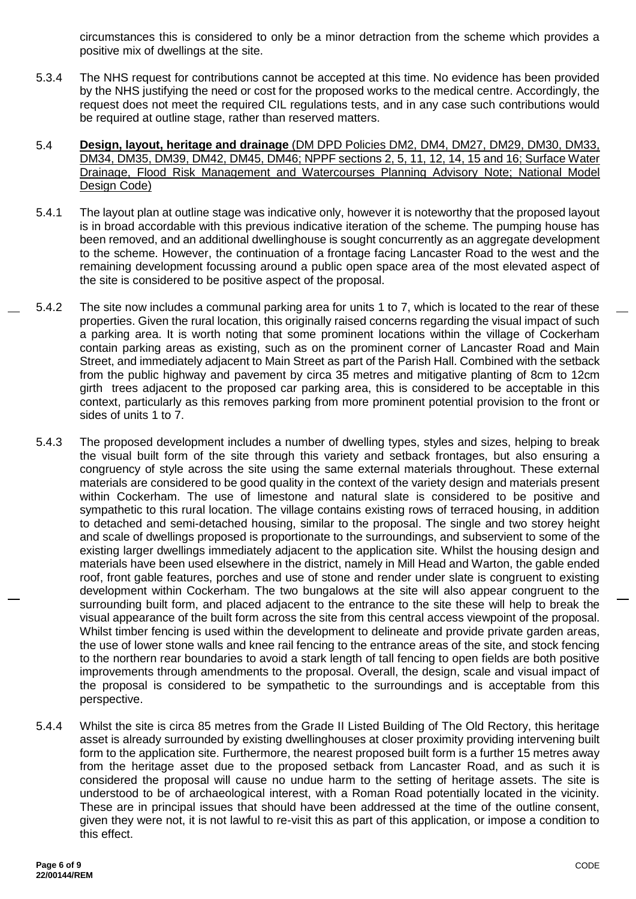circumstances this is considered to only be a minor detraction from the scheme which provides a positive mix of dwellings at the site.

- 5.3.4 The NHS request for contributions cannot be accepted at this time. No evidence has been provided by the NHS justifying the need or cost for the proposed works to the medical centre. Accordingly, the request does not meet the required CIL regulations tests, and in any case such contributions would be required at outline stage, rather than reserved matters.
- 5.4 **Design, layout, heritage and drainage** (DM DPD Policies DM2, DM4, DM27, DM29, DM30, DM33, DM34, DM35, DM39, DM42, DM45, DM46; NPPF sections 2, 5, 11, 12, 14, 15 and 16; Surface Water Drainage, Flood Risk Management and Watercourses Planning Advisory Note; National Model Design Code)
- 5.4.1 The layout plan at outline stage was indicative only, however it is noteworthy that the proposed layout is in broad accordable with this previous indicative iteration of the scheme. The pumping house has been removed, and an additional dwellinghouse is sought concurrently as an aggregate development to the scheme. However, the continuation of a frontage facing Lancaster Road to the west and the remaining development focussing around a public open space area of the most elevated aspect of the site is considered to be positive aspect of the proposal.
- 5.4.2 The site now includes a communal parking area for units 1 to 7, which is located to the rear of these properties. Given the rural location, this originally raised concerns regarding the visual impact of such a parking area. It is worth noting that some prominent locations within the village of Cockerham contain parking areas as existing, such as on the prominent corner of Lancaster Road and Main Street, and immediately adjacent to Main Street as part of the Parish Hall. Combined with the setback from the public highway and pavement by circa 35 metres and mitigative planting of 8cm to 12cm girth trees adjacent to the proposed car parking area, this is considered to be acceptable in this context, particularly as this removes parking from more prominent potential provision to the front or sides of units 1 to 7.
- 5.4.3 The proposed development includes a number of dwelling types, styles and sizes, helping to break the visual built form of the site through this variety and setback frontages, but also ensuring a congruency of style across the site using the same external materials throughout. These external materials are considered to be good quality in the context of the variety design and materials present within Cockerham. The use of limestone and natural slate is considered to be positive and sympathetic to this rural location. The village contains existing rows of terraced housing, in addition to detached and semi-detached housing, similar to the proposal. The single and two storey height and scale of dwellings proposed is proportionate to the surroundings, and subservient to some of the existing larger dwellings immediately adjacent to the application site. Whilst the housing design and materials have been used elsewhere in the district, namely in Mill Head and Warton, the gable ended roof, front gable features, porches and use of stone and render under slate is congruent to existing development within Cockerham. The two bungalows at the site will also appear congruent to the surrounding built form, and placed adjacent to the entrance to the site these will help to break the visual appearance of the built form across the site from this central access viewpoint of the proposal. Whilst timber fencing is used within the development to delineate and provide private garden areas, the use of lower stone walls and knee rail fencing to the entrance areas of the site, and stock fencing to the northern rear boundaries to avoid a stark length of tall fencing to open fields are both positive improvements through amendments to the proposal. Overall, the design, scale and visual impact of the proposal is considered to be sympathetic to the surroundings and is acceptable from this perspective.
- 5.4.4 Whilst the site is circa 85 metres from the Grade II Listed Building of The Old Rectory, this heritage asset is already surrounded by existing dwellinghouses at closer proximity providing intervening built form to the application site. Furthermore, the nearest proposed built form is a further 15 metres away from the heritage asset due to the proposed setback from Lancaster Road, and as such it is considered the proposal will cause no undue harm to the setting of heritage assets. The site is understood to be of archaeological interest, with a Roman Road potentially located in the vicinity. These are in principal issues that should have been addressed at the time of the outline consent, given they were not, it is not lawful to re-visit this as part of this application, or impose a condition to this effect.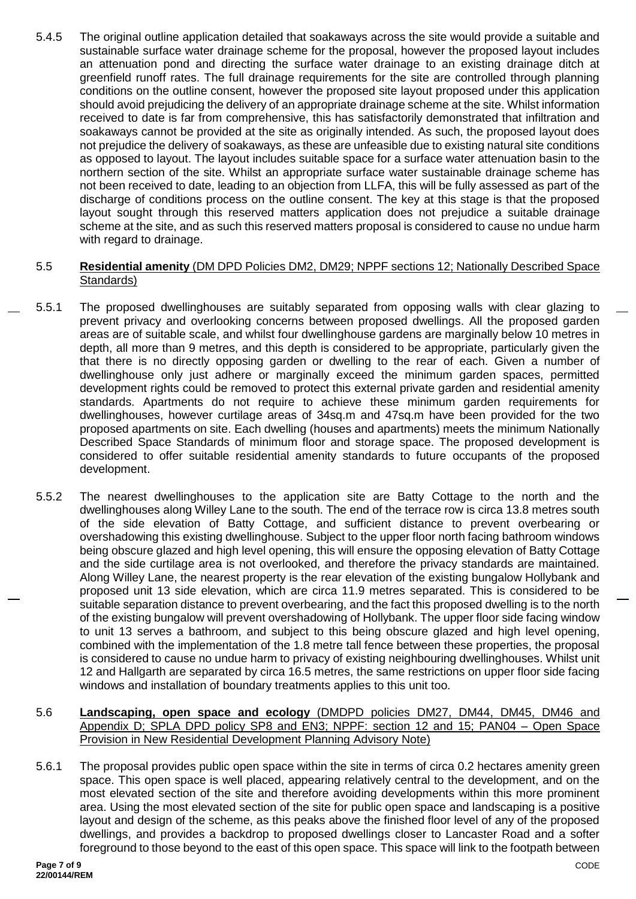5.4.5 The original outline application detailed that soakaways across the site would provide a suitable and sustainable surface water drainage scheme for the proposal, however the proposed layout includes an attenuation pond and directing the surface water drainage to an existing drainage ditch at greenfield runoff rates. The full drainage requirements for the site are controlled through planning conditions on the outline consent, however the proposed site layout proposed under this application should avoid prejudicing the delivery of an appropriate drainage scheme at the site. Whilst information received to date is far from comprehensive, this has satisfactorily demonstrated that infiltration and soakaways cannot be provided at the site as originally intended. As such, the proposed layout does not prejudice the delivery of soakaways, as these are unfeasible due to existing natural site conditions as opposed to layout. The layout includes suitable space for a surface water attenuation basin to the northern section of the site. Whilst an appropriate surface water sustainable drainage scheme has not been received to date, leading to an objection from LLFA, this will be fully assessed as part of the discharge of conditions process on the outline consent. The key at this stage is that the proposed layout sought through this reserved matters application does not prejudice a suitable drainage scheme at the site, and as such this reserved matters proposal is considered to cause no undue harm with regard to drainage.

### 5.5 **Residential amenity** (DM DPD Policies DM2, DM29; NPPF sections 12; Nationally Described Space Standards)

- 5.5.1 The proposed dwellinghouses are suitably separated from opposing walls with clear glazing to prevent privacy and overlooking concerns between proposed dwellings. All the proposed garden areas are of suitable scale, and whilst four dwellinghouse gardens are marginally below 10 metres in depth, all more than 9 metres, and this depth is considered to be appropriate, particularly given the that there is no directly opposing garden or dwelling to the rear of each. Given a number of dwellinghouse only just adhere or marginally exceed the minimum garden spaces, permitted development rights could be removed to protect this external private garden and residential amenity standards. Apartments do not require to achieve these minimum garden requirements for dwellinghouses, however curtilage areas of 34sq.m and 47sq.m have been provided for the two proposed apartments on site. Each dwelling (houses and apartments) meets the minimum Nationally Described Space Standards of minimum floor and storage space. The proposed development is considered to offer suitable residential amenity standards to future occupants of the proposed development.
	- 5.5.2 The nearest dwellinghouses to the application site are Batty Cottage to the north and the dwellinghouses along Willey Lane to the south. The end of the terrace row is circa 13.8 metres south of the side elevation of Batty Cottage, and sufficient distance to prevent overbearing or overshadowing this existing dwellinghouse. Subject to the upper floor north facing bathroom windows being obscure glazed and high level opening, this will ensure the opposing elevation of Batty Cottage and the side curtilage area is not overlooked, and therefore the privacy standards are maintained. Along Willey Lane, the nearest property is the rear elevation of the existing bungalow Hollybank and proposed unit 13 side elevation, which are circa 11.9 metres separated. This is considered to be suitable separation distance to prevent overbearing, and the fact this proposed dwelling is to the north of the existing bungalow will prevent overshadowing of Hollybank. The upper floor side facing window to unit 13 serves a bathroom, and subject to this being obscure glazed and high level opening, combined with the implementation of the 1.8 metre tall fence between these properties, the proposal is considered to cause no undue harm to privacy of existing neighbouring dwellinghouses. Whilst unit 12 and Hallgarth are separated by circa 16.5 metres, the same restrictions on upper floor side facing windows and installation of boundary treatments applies to this unit too.
	- 5.6 **Landscaping, open space and ecology** (DMDPD policies DM27, DM44, DM45, DM46 and Appendix D; SPLA DPD policy SP8 and EN3; NPPF: section 12 and 15; PAN04 – Open Space Provision in New Residential Development Planning Advisory Note)
	- 5.6.1 The proposal provides public open space within the site in terms of circa 0.2 hectares amenity green space. This open space is well placed, appearing relatively central to the development, and on the most elevated section of the site and therefore avoiding developments within this more prominent area. Using the most elevated section of the site for public open space and landscaping is a positive layout and design of the scheme, as this peaks above the finished floor level of any of the proposed dwellings, and provides a backdrop to proposed dwellings closer to Lancaster Road and a softer foreground to those beyond to the east of this open space. This space will link to the footpath between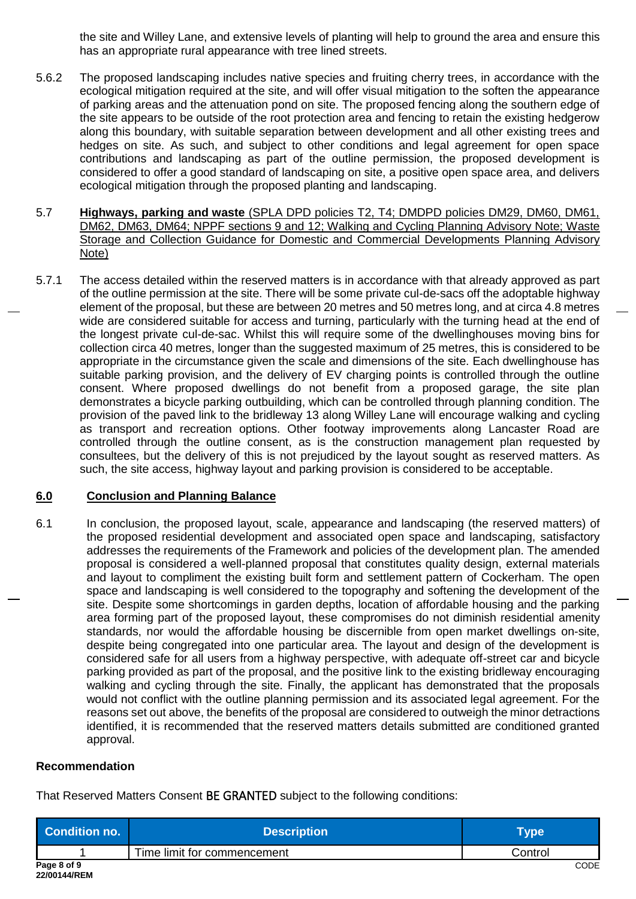the site and Willey Lane, and extensive levels of planting will help to ground the area and ensure this has an appropriate rural appearance with tree lined streets.

- 5.6.2 The proposed landscaping includes native species and fruiting cherry trees, in accordance with the ecological mitigation required at the site, and will offer visual mitigation to the soften the appearance of parking areas and the attenuation pond on site. The proposed fencing along the southern edge of the site appears to be outside of the root protection area and fencing to retain the existing hedgerow along this boundary, with suitable separation between development and all other existing trees and hedges on site. As such, and subject to other conditions and legal agreement for open space contributions and landscaping as part of the outline permission, the proposed development is considered to offer a good standard of landscaping on site, a positive open space area, and delivers ecological mitigation through the proposed planting and landscaping.
- 5.7 **Highways, parking and waste** (SPLA DPD policies T2, T4; DMDPD policies DM29, DM60, DM61, DM62, DM63, DM64; NPPF sections 9 and 12; Walking and Cycling Planning Advisory Note; Waste Storage and Collection Guidance for Domestic and Commercial Developments Planning Advisory Note)
- 5.7.1 The access detailed within the reserved matters is in accordance with that already approved as part of the outline permission at the site. There will be some private cul-de-sacs off the adoptable highway element of the proposal, but these are between 20 metres and 50 metres long, and at circa 4.8 metres wide are considered suitable for access and turning, particularly with the turning head at the end of the longest private cul-de-sac. Whilst this will require some of the dwellinghouses moving bins for collection circa 40 metres, longer than the suggested maximum of 25 metres, this is considered to be appropriate in the circumstance given the scale and dimensions of the site. Each dwellinghouse has suitable parking provision, and the delivery of EV charging points is controlled through the outline consent. Where proposed dwellings do not benefit from a proposed garage, the site plan demonstrates a bicycle parking outbuilding, which can be controlled through planning condition. The provision of the paved link to the bridleway 13 along Willey Lane will encourage walking and cycling as transport and recreation options. Other footway improvements along Lancaster Road are controlled through the outline consent, as is the construction management plan requested by consultees, but the delivery of this is not prejudiced by the layout sought as reserved matters. As such, the site access, highway layout and parking provision is considered to be acceptable.

### **6.0 Conclusion and Planning Balance**

6.1 In conclusion, the proposed layout, scale, appearance and landscaping (the reserved matters) of the proposed residential development and associated open space and landscaping, satisfactory addresses the requirements of the Framework and policies of the development plan. The amended proposal is considered a well-planned proposal that constitutes quality design, external materials and layout to compliment the existing built form and settlement pattern of Cockerham. The open space and landscaping is well considered to the topography and softening the development of the site. Despite some shortcomings in garden depths, location of affordable housing and the parking area forming part of the proposed layout, these compromises do not diminish residential amenity standards, nor would the affordable housing be discernible from open market dwellings on-site, despite being congregated into one particular area. The layout and design of the development is considered safe for all users from a highway perspective, with adequate off-street car and bicycle parking provided as part of the proposal, and the positive link to the existing bridleway encouraging walking and cycling through the site. Finally, the applicant has demonstrated that the proposals would not conflict with the outline planning permission and its associated legal agreement. For the reasons set out above, the benefits of the proposal are considered to outweigh the minor detractions identified, it is recommended that the reserved matters details submitted are conditioned granted approval.

### **Recommendation**

That Reserved Matters Consent BE GRANTED subject to the following conditions:

| Condition no.               | <b>Description</b>          | Type⊺   |
|-----------------------------|-----------------------------|---------|
|                             | Time limit for commencement | Control |
| Page 8 of 9<br>22/00144/REM |                             | CODE    |